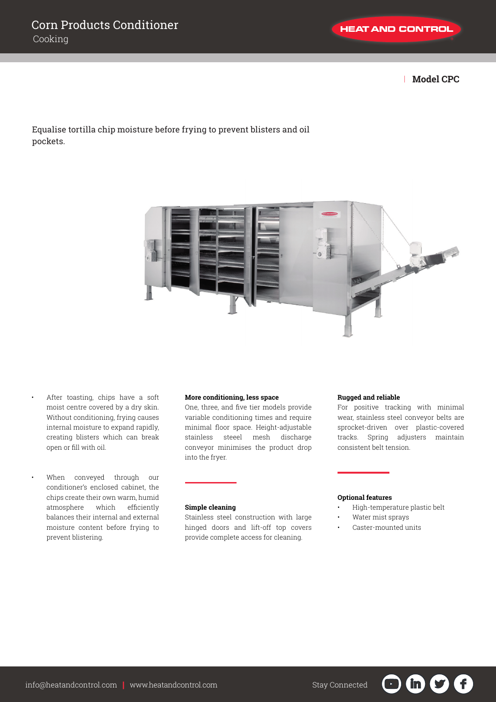| **Model CPC**

# Equalise tortilla chip moisture before frying to prevent blisters and oil pockets.



• After toasting, chips have a soft moist centre covered by a dry skin. Without conditioning, frying causes internal moisture to expand rapidly, creating blisters which can break open or fill with oil.

When conveyed through our conditioner's enclosed cabinet, the chips create their own warm, humid atmosphere which efficiently balances their internal and external moisture content before frying to prevent blistering.

## **More conditioning, less space**

One, three, and five tier models provide variable conditioning times and require minimal floor space. Height-adjustable stainless steeel mesh discharge conveyor minimises the product drop into the fryer.

## **Simple cleaning**

Stainless steel construction with large hinged doors and lift-off top covers provide complete access for cleaning.

### **Rugged and reliable**

For positive tracking with minimal wear, stainless steel conveyor belts are sprocket-driven over plastic-covered tracks. Spring adjusters maintain consistent belt tension.

### **Optional features**

• High-temperature plastic belt

G

'in'

 $\mathbf{U}$ 

- Water mist sprays
- Caster-mounted units